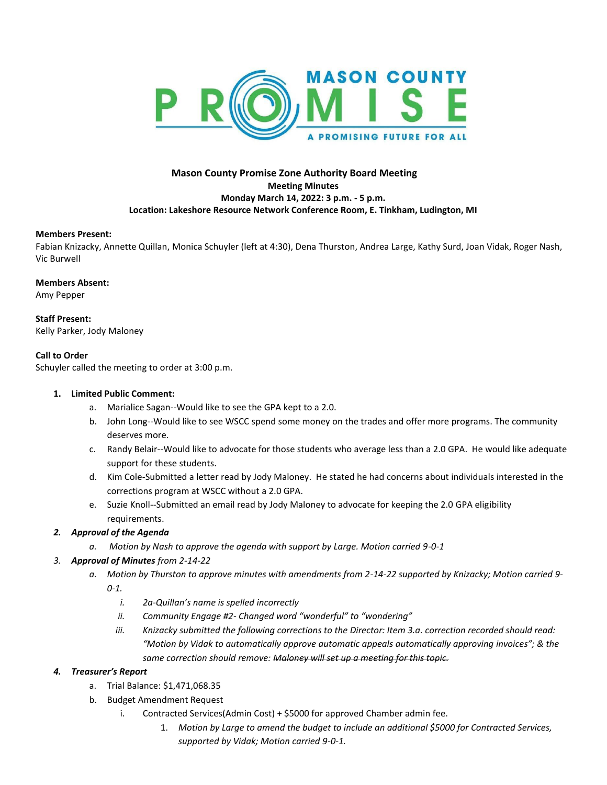

## **Mason County Promise Zone Authority Board Meeting Meeting Minutes Monday March 14, 2022: 3 p.m. - 5 p.m. Location: Lakeshore Resource Network Conference Room, E. Tinkham, Ludington, MI**

#### **Members Present:**

Fabian Knizacky, Annette Quillan, Monica Schuyler (left at 4:30), Dena Thurston, Andrea Large, Kathy Surd, Joan Vidak, Roger Nash, Vic Burwell

#### **Members Absent:**

Amy Pepper

**Staff Present:**  Kelly Parker, Jody Maloney

## **Call to Order**

Schuyler called the meeting to order at 3:00 p.m.

#### **1. Limited Public Comment:**

- a. Marialice Sagan--Would like to see the GPA kept to a 2.0.
- b. John Long--Would like to see WSCC spend some money on the trades and offer more programs. The community deserves more.
- c. Randy Belair--Would like to advocate for those students who average less than a 2.0 GPA. He would like adequate support for these students.
- d. Kim Cole-Submitted a letter read by Jody Maloney. He stated he had concerns about individuals interested in the corrections program at WSCC without a 2.0 GPA.
- e. Suzie Knoll--Submitted an email read by Jody Maloney to advocate for keeping the 2.0 GPA eligibility requirements.

## *2. Approval of the Agenda*

- *a. Motion by Nash to approve the agenda with support by Large. Motion carried 9-0-1*
- *3. Approval of Minutes from 2-14-22*
	- *a. Motion by Thurston to approve minutes with amendments from 2-14-22 supported by Knizacky; Motion carried 9- 0-1.* 
		- *i. 2a-Quillan's name is spelled incorrectly*
		- *ii. Community Engage #2- Changed word "wonderful" to "wondering"*
		- *iii. Knizacky submitted the following corrections to the Director: Item 3.a. correction recorded should read: "Motion by Vidak to automatically approve automatic appeals automatically approving invoices"; & the same correction should remove: Maloney will set up a meeting for this topic.*

## *4. Treasurer's Report*

- a. Trial Balance: \$1,471,068.35
- b. Budget Amendment Request
	- i. Contracted Services(Admin Cost) + \$5000 for approved Chamber admin fee.
		- 1. *Motion by Large to amend the budget to include an additional \$5000 for Contracted Services, supported by Vidak; Motion carried 9-0-1.*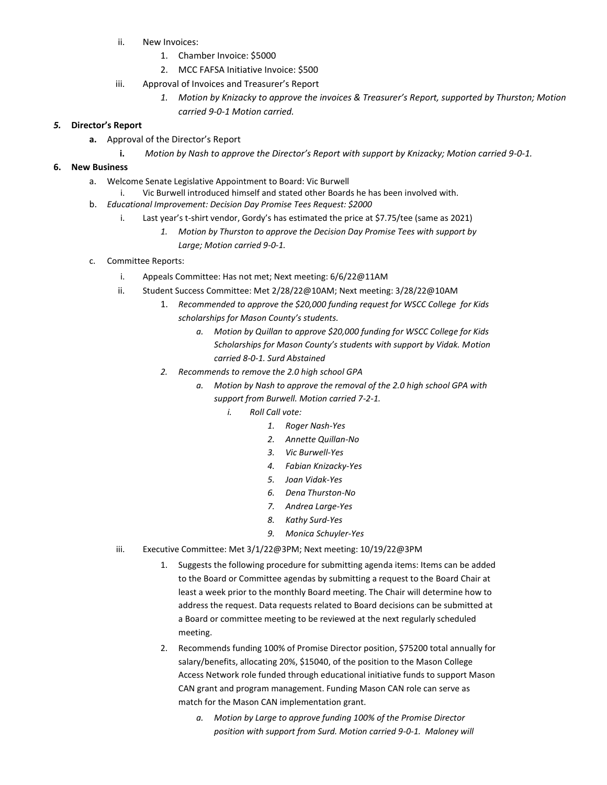- ii. New Invoices:
	- 1. Chamber Invoice: \$5000
	- 2. MCC FAFSA Initiative Invoice: \$500
- iii. Approval of Invoices and Treasurer's Report
	- *1. Motion by Knizacky to approve the invoices & Treasurer's Report, supported by Thurston; Motion carried 9-0-1 Motion carried.*

## *5.* **Director's Report**

- **a.** Approval of the Director's Report
	- **i.** *Motion by Nash to approve the Director's Report with support by Knizacky; Motion carried 9-0-1.*

## **6. New Business**

- a. Welcome Senate Legislative Appointment to Board: Vic Burwell
	- i. Vic Burwell introduced himself and stated other Boards he has been involved with.
- b. *Educational Improvement: Decision Day Promise Tees Request: \$2000*
	- i. Last year's t-shirt vendor, Gordy's has estimated the price at \$7.75/tee (same as 2021)
		- *1. Motion by Thurston to approve the Decision Day Promise Tees with support by Large; Motion carried 9-0-1.*
- c. Committee Reports:
	- i. Appeals Committee: Has not met; Next meeting: 6/6/22@11AM
	- ii. Student Success Committee: Met 2/28/22@10AM; Next meeting: 3/28/22@10AM
		- 1. *Recommended to approve the \$20,000 funding request for WSCC College for Kids scholarships for Mason County's students.*
			- *a. Motion by Quillan to approve \$20,000 funding for WSCC College for Kids Scholarships for Mason County's students with support by Vidak. Motion carried 8-0-1. Surd Abstained*
		- *2. Recommends to remove the 2.0 high school GPA*
			- *a. Motion by Nash to approve the removal of the 2.0 high school GPA with support from Burwell. Motion carried 7-2-1.* 
				- *i. Roll Call vote:*
					- *1. Roger Nash-Yes*
					- *2. Annette Quillan-No*
					- *3. Vic Burwell-Yes*
					- *4. Fabian Knizacky-Yes*
					- *5. Joan Vidak-Yes*
					- *6. Dena Thurston-No*
					- *7. Andrea Large-Yes*
					- *8. Kathy Surd-Yes*
					- *9. Monica Schuyler-Yes*
	- iii. Executive Committee: Met 3/1/22@3PM; Next meeting: 10/19/22@3PM
		- 1. Suggests the following procedure for submitting agenda items: Items can be added to the Board or Committee agendas by submitting a request to the Board Chair at least a week prior to the monthly Board meeting. The Chair will determine how to address the request. Data requests related to Board decisions can be submitted at a Board or committee meeting to be reviewed at the next regularly scheduled meeting.
		- 2. Recommends funding 100% of Promise Director position, \$75200 total annually for salary/benefits, allocating 20%, \$15040, of the position to the Mason College Access Network role funded through educational initiative funds to support Mason CAN grant and program management. Funding Mason CAN role can serve as match for the Mason CAN implementation grant.
			- *a. Motion by Large to approve funding 100% of the Promise Director position with support from Surd. Motion carried 9-0-1. Maloney will*